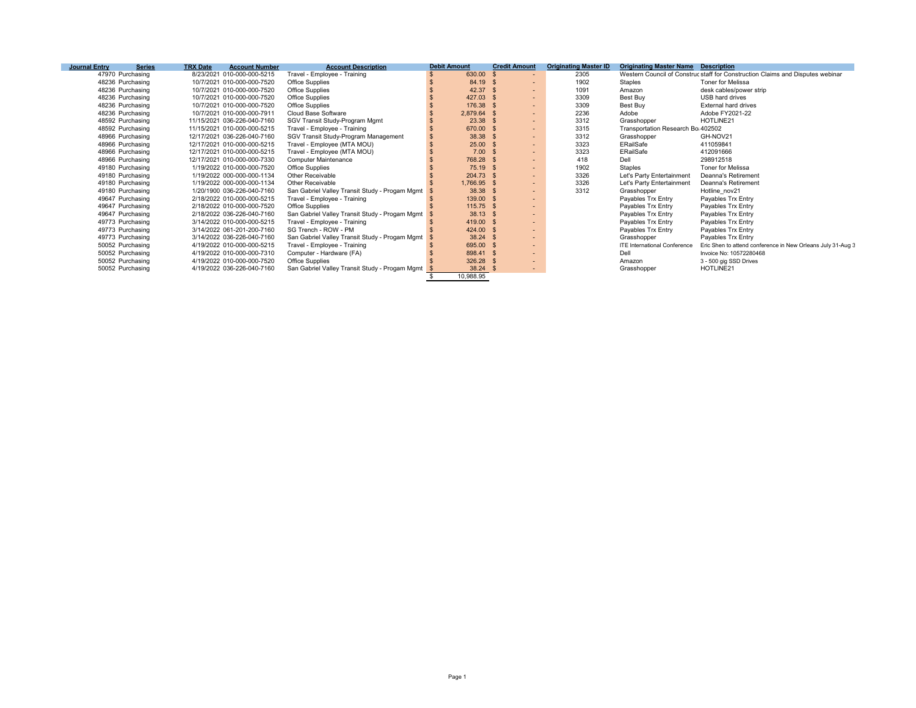| <b>Journal Entry</b> | <b>Series</b>    | <b>TRX Date</b> | <b>Account Number</b>       | <b>Account Description</b>                     | <b>Debit Amount</b> | <b>Credit Amount</b> |                          | <b>Originating Master ID</b> | <b>Originating Master Name Description</b> |                                                                                |
|----------------------|------------------|-----------------|-----------------------------|------------------------------------------------|---------------------|----------------------|--------------------------|------------------------------|--------------------------------------------|--------------------------------------------------------------------------------|
|                      | 47970 Purchasing |                 | 8/23/2021 010-000-000-5215  | Travel - Employee - Training                   | 630.00              | -S.                  | $\overline{\phantom{a}}$ | 2305                         |                                            | Western Council of Construc staff for Construction Claims and Disputes webinar |
|                      | 48236 Purchasing |                 | 10/7/2021 010-000-000-7520  | Office Supplies                                | 84.19 \$            |                      | $\sim$                   | 1902                         | Staples                                    | <b>Toner for Melissa</b>                                                       |
|                      | 48236 Purchasing |                 | 10/7/2021 010-000-000-7520  | Office Supplies                                | 42.37 \$            |                      | $\sim$                   | 1091                         | Amazon                                     | desk cables/power strip                                                        |
|                      | 48236 Purchasing |                 | 10/7/2021 010-000-000-7520  | Office Supplies                                | 427.03 \$           |                      | $\sim$                   | 3309                         | Best Buy                                   | USB hard drives                                                                |
|                      | 48236 Purchasing |                 | 10/7/2021 010-000-000-7520  | Office Supplies                                | 176.38 \$           |                      | $\sim$                   | 3309                         | Best Buy                                   | External hard drives                                                           |
|                      | 48236 Purchasing |                 | 10/7/2021 010-000-000-7911  | Cloud Base Software                            | 2,879.64 \$         |                      | $\sim$                   | 2236                         | Adobe                                      | Adobe FY2021-22                                                                |
|                      | 48592 Purchasing |                 | 11/15/2021 036-226-040-7160 | SGV Transit Study-Program Mgmt                 | $23.38$ \$          |                      | $\sim$                   | 3312                         | Grasshopper                                | HOTLINE21                                                                      |
|                      | 48592 Purchasing |                 | 11/15/2021 010-000-000-5215 | Travel - Employee - Training                   | 670.00 \$           |                      | $\sim$                   | 3315                         | Transportation Research Bo 402502          |                                                                                |
|                      | 48966 Purchasing |                 | 12/17/2021 036-226-040-7160 | SGV Transit Study-Program Management           | 38.38 \$            |                      | $\sim$                   | 3312                         | Grasshopper                                | GH-NOV21                                                                       |
|                      | 48966 Purchasing |                 | 12/17/2021 010-000-000-5215 | Travel - Employee (MTA MOU)                    | $25.00$ \$          |                      | $\sim$                   | 3323                         | ERailSafe                                  | 411059841                                                                      |
|                      | 48966 Purchasing |                 | 12/17/2021 010-000-000-5215 | Travel - Employee (MTA MOU)                    | $7.00$ \$           |                      | $\sim$                   | 3323                         | ERailSafe                                  | 412091666                                                                      |
|                      | 48966 Purchasing |                 | 12/17/2021 010-000-000-7330 | <b>Computer Maintenance</b>                    | 768.28 \$           |                      | $\sim$                   | 418                          | Dell                                       | 298912518                                                                      |
|                      | 49180 Purchasing |                 | 1/19/2022 010-000-000-7520  | Office Supplies                                | 75.19 \$            |                      | $\sim$                   | 1902                         | Staples                                    | Toner for Melissa                                                              |
|                      | 49180 Purchasing |                 | 1/19/2022 000-000-000-1134  | <b>Other Receivable</b>                        | $204.73$ \$         |                      | $\sim$                   | 3326                         | Let's Party Entertainment                  | Deanna's Retirement                                                            |
|                      | 49180 Purchasing |                 | 1/19/2022 000-000-000-1134  | <b>Other Receivable</b>                        | 1,766.95 \$         |                      | $\sim$                   | 3326                         | Let's Party Entertainment                  | Deanna's Retirement                                                            |
|                      | 49180 Purchasing |                 | 1/20/1900 036-226-040-7160  | San Gabriel Valley Transit Study - Progam Mgmt | 38.38 \$            |                      | $\sim$                   | 3312                         | Grasshopper                                | Hotline nov21                                                                  |
|                      | 49647 Purchasing |                 | 2/18/2022 010-000-000-5215  | Travel - Employee - Training                   | 139.00 \$           |                      | $\sim$                   |                              | Payables Trx Entry                         | Payables Trx Entry                                                             |
|                      | 49647 Purchasing |                 | 2/18/2022 010-000-000-7520  | Office Supplies                                | $115.75$ \$         |                      | $\sim$                   |                              | Payables Trx Entry                         | Payables Trx Entry                                                             |
|                      | 49647 Purchasing |                 | 2/18/2022 036-226-040-7160  | San Gabriel Valley Transit Study - Progam Mgmt | $38.13$ \$          |                      | $\sim$                   |                              | Payables Trx Entry                         | Payables Trx Entry                                                             |
|                      | 49773 Purchasing |                 | 3/14/2022 010-000-000-5215  | Travel - Employee - Training                   | 419.00 \$           |                      | $\sim$                   |                              | Payables Trx Entry                         | Pavables Trx Entry                                                             |
|                      | 49773 Purchasing |                 | 3/14/2022 061-201-200-7160  | SG Trench - ROW - PM                           | 424.00 \$           |                      | $\sim$                   |                              | Payables Trx Entry                         | Payables Trx Entry                                                             |
|                      | 49773 Purchasing |                 | 3/14/2022 036-226-040-7160  | San Gabriel Valley Transit Study - Progam Mgmt | 38.24 \$            |                      | $\sim$                   |                              | Grasshopper                                | Payables Trx Entry                                                             |
|                      | 50052 Purchasing |                 | 4/19/2022 010-000-000-5215  | Travel - Employee - Training                   | 695.00 \$           |                      | $\sim$                   |                              | <b>ITE International Conference</b>        | Eric Shen to attend conference in New Orleans July 31-Aug 3                    |
|                      | 50052 Purchasing |                 | 4/19/2022 010-000-000-7310  | Computer - Hardware (FA)                       | 898.41 \$           |                      | $\sim$                   |                              | Dell                                       | Invoice No: 10572280468                                                        |
|                      | 50052 Purchasing |                 | 4/19/2022 010-000-000-7520  | Office Supplies                                | 326.28 \$           |                      | $\sim$                   |                              | Amazon                                     | 3 - 500 gig SSD Drives                                                         |
|                      | 50052 Purchasing |                 | 4/19/2022 036-226-040-7160  | San Gabriel Valley Transit Study - Progam Mgmt | $38.24$ \$          |                      | $\sim$                   |                              | Grasshopper                                | HOTLINE21                                                                      |
|                      |                  |                 |                             |                                                | 10,988.95           |                      |                          |                              |                                            |                                                                                |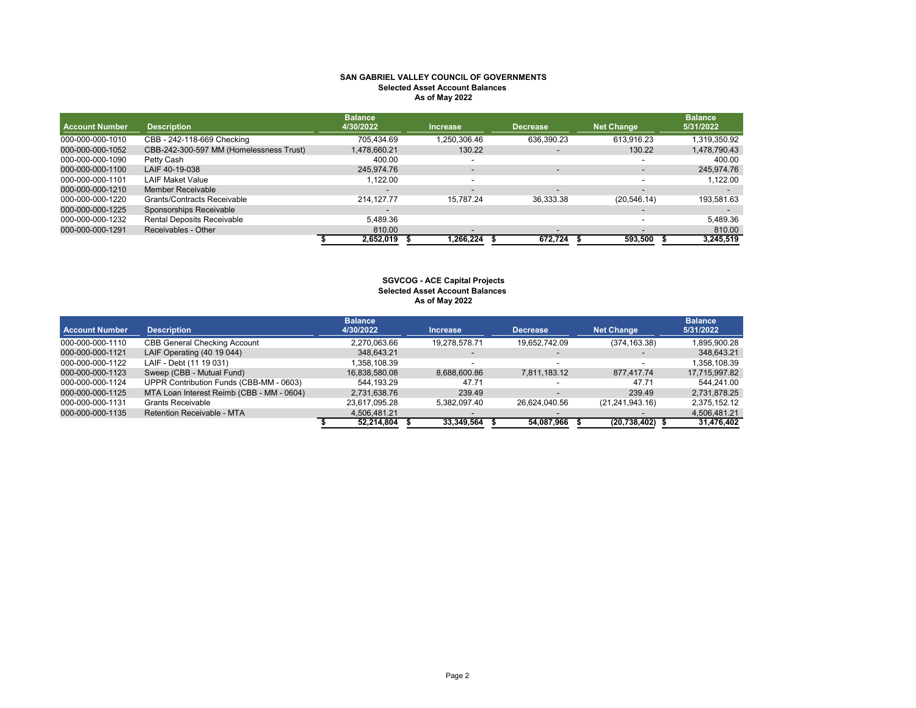### **SAN GABRIEL VALLEY COUNCIL OF GOVERNMENTS Selected Asset Account Balances As of May 2022**

| <b>Account Number</b> | <b>Description</b>                      | <b>Balance</b><br>4/30/2022 | <b>Increase</b>          | <b>Decrease</b>                                                                                                                                                                               | <b>Net Change</b> | <b>Balance</b><br>5/31/2022 |
|-----------------------|-----------------------------------------|-----------------------------|--------------------------|-----------------------------------------------------------------------------------------------------------------------------------------------------------------------------------------------|-------------------|-----------------------------|
| 000-000-000-1010      | CBB - 242-118-669 Checking              | 705.434.69                  | 1,250,306.46             | 636,390.23                                                                                                                                                                                    | 613.916.23        | 319,350.92                  |
| 000-000-000-1052      | CBB-242-300-597 MM (Homelessness Trust) | 1,478,660.21                | 130.22                   |                                                                                                                                                                                               | 130.22            | 1,478,790.43                |
| 000-000-000-1090      | Petty Cash                              | 400.00                      | $\overline{\phantom{a}}$ |                                                                                                                                                                                               |                   | 400.00                      |
| 000-000-000-1100      | LAIF 40-19-038                          | 245.974.76                  | -                        | $\hskip1.6pt\hskip1.6pt\hskip1.6pt\hskip1.6pt\hskip1.6pt\hskip1.6pt\hskip1.6pt\hskip1.6pt\hskip1.6pt\hskip1.6pt\hskip1.6pt\hskip1.6pt\hskip1.6pt\hskip1.6pt\hskip1.6pt\hskip1.6pt\hskip1.6pt$ |                   | 245,974.76                  |
| 000-000-000-1101      | <b>LAIF Maket Value</b>                 | 1,122.00                    | -                        |                                                                                                                                                                                               |                   | 1,122.00                    |
| 000-000-000-1210      | Member Receivable                       |                             | -                        | $\overline{\phantom{0}}$                                                                                                                                                                      |                   |                             |
| 000-000-000-1220      | Grants/Contracts Receivable             | 214.127.77                  | 15.787.24                | 36,333.38                                                                                                                                                                                     | (20, 546, 14)     | 193,581.63                  |
| 000-000-000-1225      | Sponsorships Receivable                 |                             |                          |                                                                                                                                                                                               |                   |                             |
| 000-000-000-1232      | <b>Rental Deposits Receivable</b>       | 5.489.36                    |                          |                                                                                                                                                                                               |                   | 5,489.36                    |
| 000-000-000-1291      | Receivables - Other                     | 810.00                      | $\blacksquare$           | $\overline{\phantom{0}}$                                                                                                                                                                      |                   | 810.00                      |
|                       |                                         | 2,652,019                   | 1,266,224                | 672,724                                                                                                                                                                                       | 593.500           | 3,245,519                   |

### **As of May 2022 SGVCOG - ACE Capital Projects Selected Asset Account Balances**

| <b>Account Number</b> | <b>Description</b>                        | <b>Balance</b><br>4/30/2022 | <b>Increase</b> | <b>Decrease</b>          | Net Change        | <b>Balance</b><br>5/31/2022 |
|-----------------------|-------------------------------------------|-----------------------------|-----------------|--------------------------|-------------------|-----------------------------|
|                       |                                           |                             |                 |                          |                   |                             |
| 000-000-000-1110      | <b>CBB General Checking Account</b>       | 2,270,063.66                | 19.278.578.71   | 19,652,742.09            | (374, 163.38)     | 1,895,900.28                |
| 000-000-000-1121      | LAIF Operating (40 19 044)                | 348.643.21                  |                 |                          |                   | 348,643.21                  |
| 000-000-000-1122      | LAIF - Debt (11 19 031)                   | .358.108.39                 |                 |                          |                   | 1.358.108.39                |
| 000-000-000-1123      | Sweep (CBB - Mutual Fund)                 | 16,838,580.08               | 8.688.600.86    | 7,811,183.12             | 877.417.74        | 17,715,997.82               |
| 000-000-000-1124      | UPPR Contribution Funds (CBB-MM - 0603)   | 544.193.29                  | 47.71           |                          | 47.71             | 544.241.00                  |
| 000-000-000-1125      | MTA Loan Interest Reimb (CBB - MM - 0604) | 2.731.638.76                | 239.49          | $\overline{\phantom{a}}$ | 239.49            | 2,731,878.25                |
| 000-000-000-1131      | <b>Grants Receivable</b>                  | 23,617,095.28               | 5.382.097.40    | 26.624.040.56            | (21, 241, 943.16) | 2,375,152.12                |
| 000-000-000-1135      | Retention Receivable - MTA                | 4.506.481.21                |                 |                          |                   | 4,506,481.21                |
|                       |                                           | 52.214.804                  | 33,349,564      | 54.087.966               | (20, 738, 402)    | 31,476,402                  |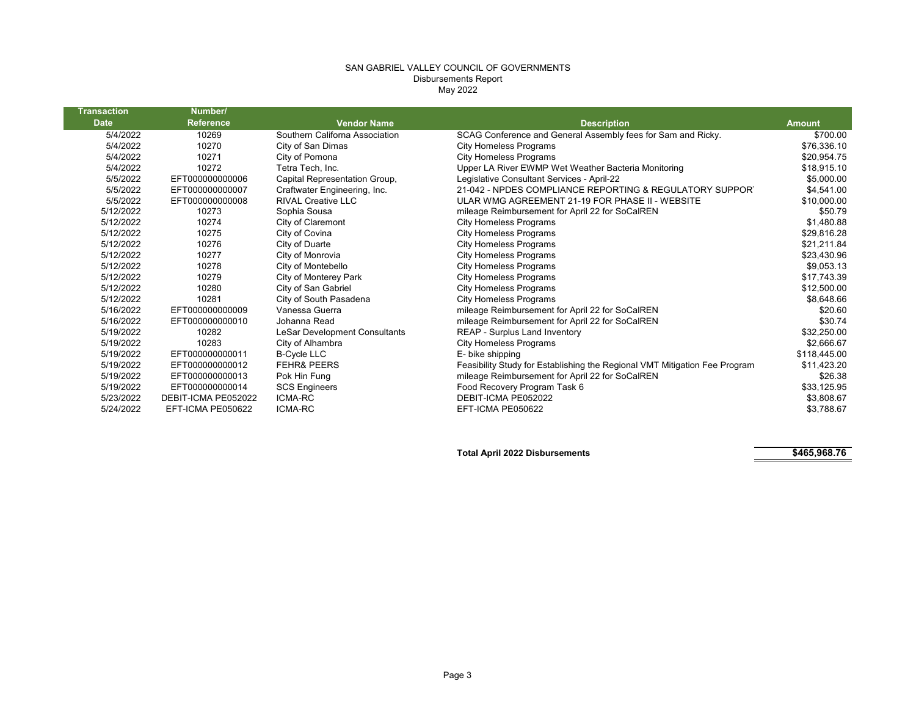# SAN GABRIEL VALLEY COUNCIL OF GOVERNMENTS Disbursements Report May 2022

Т

| <b>Transaction</b> | Number/             |                                |                                                                            |               |
|--------------------|---------------------|--------------------------------|----------------------------------------------------------------------------|---------------|
| <b>Date</b>        | <b>Reference</b>    | <b>Vendor Name</b>             | <b>Description</b>                                                         | <b>Amount</b> |
| 5/4/2022           | 10269               | Southern Californa Association | SCAG Conference and General Assembly fees for Sam and Ricky.               | \$700.00      |
| 5/4/2022           | 10270               | City of San Dimas              | <b>City Homeless Programs</b>                                              | \$76,336.10   |
| 5/4/2022           | 10271               | City of Pomona                 | <b>City Homeless Programs</b>                                              | \$20,954.75   |
| 5/4/2022           | 10272               | Tetra Tech, Inc.               | Upper LA River EWMP Wet Weather Bacteria Monitoring                        | \$18,915.10   |
| 5/5/2022           | EFT000000000006     | Capital Representation Group,  | Legislative Consultant Services - April-22                                 | \$5,000.00    |
| 5/5/2022           | EFT000000000007     | Craftwater Engineering, Inc.   | 21-042 - NPDES COMPLIANCE REPORTING & REGULATORY SUPPORT                   | \$4,541.00    |
| 5/5/2022           | EFT000000000008     | <b>RIVAL Creative LLC</b>      | ULAR WMG AGREEMENT 21-19 FOR PHASE II - WEBSITE                            | \$10,000.00   |
| 5/12/2022          | 10273               | Sophia Sousa                   | mileage Reimbursement for April 22 for SoCalREN                            | \$50.79       |
| 5/12/2022          | 10274               | City of Claremont              | <b>City Homeless Programs</b>                                              | \$1,480.88    |
| 5/12/2022          | 10275               | City of Covina                 | <b>City Homeless Programs</b>                                              | \$29,816.28   |
| 5/12/2022          | 10276               | City of Duarte                 | <b>City Homeless Programs</b>                                              | \$21,211.84   |
| 5/12/2022          | 10277               | City of Monrovia               | <b>City Homeless Programs</b>                                              | \$23,430.96   |
| 5/12/2022          | 10278               | City of Montebello             | <b>City Homeless Programs</b>                                              | \$9,053.13    |
| 5/12/2022          | 10279               | City of Monterey Park          | <b>City Homeless Programs</b>                                              | \$17,743.39   |
| 5/12/2022          | 10280               | City of San Gabriel            | <b>City Homeless Programs</b>                                              | \$12,500.00   |
| 5/12/2022          | 10281               | City of South Pasadena         | <b>City Homeless Programs</b>                                              | \$8,648.66    |
| 5/16/2022          | EFT000000000009     | Vanessa Guerra                 | mileage Reimbursement for April 22 for SoCalREN                            | \$20.60       |
| 5/16/2022          | EFT000000000010     | Johanna Read                   | mileage Reimbursement for April 22 for SoCalREN                            | \$30.74       |
| 5/19/2022          | 10282               | LeSar Development Consultants  | REAP - Surplus Land Inventory                                              | \$32,250.00   |
| 5/19/2022          | 10283               | City of Alhambra               | <b>City Homeless Programs</b>                                              | \$2,666.67    |
| 5/19/2022          | EFT000000000011     | <b>B-Cycle LLC</b>             | E- bike shipping                                                           | \$118,445.00  |
| 5/19/2022          | EFT000000000012     | <b>FEHR&amp; PEERS</b>         | Feasibility Study for Establishing the Regional VMT Mitigation Fee Program | \$11,423.20   |
| 5/19/2022          | EFT000000000013     | Pok Hin Fung                   | mileage Reimbursement for April 22 for SoCalREN                            | \$26.38       |
| 5/19/2022          | EFT000000000014     | <b>SCS Engineers</b>           | Food Recovery Program Task 6                                               | \$33,125.95   |
| 5/23/2022          | DEBIT-ICMA PE052022 | <b>ICMA-RC</b>                 | DEBIT-ICMA PE052022                                                        | \$3,808.67    |
| 5/24/2022          | EFT-ICMA PE050622   | <b>ICMA-RC</b>                 | EFT-ICMA PE050622                                                          | \$3,788.67    |

**Total April 2022 Disbursements \$465,968.76**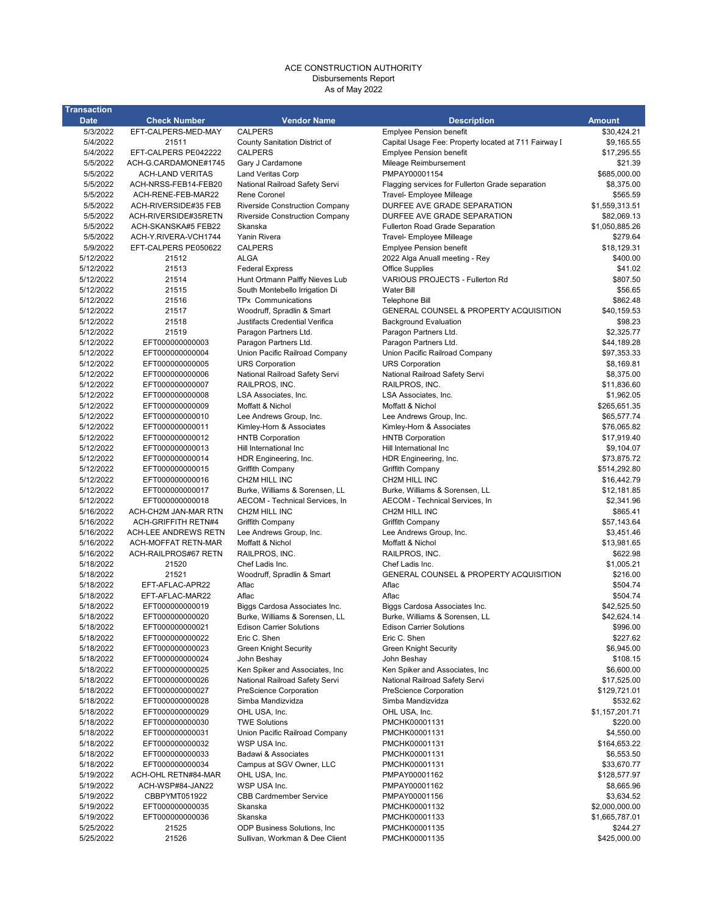#### ACE CONSTRUCTION AUTHORITY Disbursements Report As of May 2022

| <b>Transaction</b>     |                                             |                                          |                                                              |                            |
|------------------------|---------------------------------------------|------------------------------------------|--------------------------------------------------------------|----------------------------|
| <b>Date</b>            | <b>Check Number</b>                         | <b>Vendor Name</b>                       | <b>Description</b>                                           | <b>Amount</b>              |
| 5/3/2022               | EFT-CALPERS-MED-MAY                         | <b>CALPERS</b>                           | <b>Emplyee Pension benefit</b>                               | \$30,424.21                |
| 5/4/2022               | 21511                                       | County Sanitation District of            | Capital Usage Fee: Property located at 711 Fairway I         | \$9,165.55                 |
| 5/4/2022               | EFT-CALPERS PE042222                        | <b>CALPERS</b>                           | <b>Emplyee Pension benefit</b>                               | \$17,295.55                |
| 5/5/2022               | ACH-G.CARDAMONE#1745                        | Gary J Cardamone                         | Mileage Reimbursement                                        | \$21.39                    |
| 5/5/2022               | <b>ACH-LAND VERITAS</b>                     | <b>Land Veritas Corp</b>                 | PMPAY00001154                                                | \$685,000.00               |
| 5/5/2022               | ACH-NRSS-FEB14-FEB20                        | National Railroad Safety Servi           | Flagging services for Fullerton Grade separation             | \$8,375.00                 |
| 5/5/2022               | ACH-RENE-FEB-MAR22                          | Rene Coronel                             | Travel- Employee Milleage                                    | \$565.59                   |
| 5/5/2022               | ACH-RIVERSIDE#35 FEB                        | <b>Riverside Construction Company</b>    | DURFEE AVE GRADE SEPARATION                                  | \$1,559,313.51             |
| 5/5/2022               | ACH-RIVERSIDE#35RETN                        | <b>Riverside Construction Company</b>    | DURFEE AVE GRADE SEPARATION                                  | \$82,069.13                |
| 5/5/2022<br>5/5/2022   | ACH-SKANSKA#5 FEB22<br>ACH-Y.RIVERA-VCH1744 | Skanska<br>Yanin Rivera                  | Fullerton Road Grade Separation<br>Travel- Employee Milleage | \$1,050,885.26<br>\$279.64 |
| 5/9/2022               | EFT-CALPERS PE050622                        | <b>CALPERS</b>                           | <b>Emplyee Pension benefit</b>                               | \$18,129.31                |
| 5/12/2022              | 21512                                       | <b>ALGA</b>                              | 2022 Alga Anuall meeting - Rey                               | \$400.00                   |
| 5/12/2022              | 21513                                       | <b>Federal Express</b>                   | <b>Office Supplies</b>                                       | \$41.02                    |
| 5/12/2022              | 21514                                       | Hunt Ortmann Palffy Nieves Lub           | VARIOUS PROJECTS - Fullerton Rd                              | \$807.50                   |
| 5/12/2022              | 21515                                       | South Montebello Irrigation Di           | <b>Water Bill</b>                                            | \$56.65                    |
| 5/12/2022              | 21516                                       | <b>TPx Communications</b>                | Telephone Bill                                               | \$862.48                   |
| 5/12/2022              | 21517                                       | Woodruff, Spradlin & Smart               | GENERAL COUNSEL & PROPERTY ACQUISITION                       | \$40,159.53                |
| 5/12/2022              | 21518                                       | Justifacts Credential Verifica           | <b>Background Evaluation</b>                                 | \$98.23                    |
| 5/12/2022              | 21519                                       | Paragon Partners Ltd.                    | Paragon Partners Ltd.                                        | \$2,325.77                 |
| 5/12/2022              | EFT000000000003                             | Paragon Partners Ltd.                    | Paragon Partners Ltd.                                        | \$44,189.28                |
| 5/12/2022              | EFT000000000004                             | Union Pacific Railroad Company           | Union Pacific Railroad Company                               | \$97,353.33                |
| 5/12/2022              | EFT000000000005                             | <b>URS Corporation</b>                   | <b>URS Corporation</b>                                       | \$8,169.81                 |
| 5/12/2022              | EFT000000000006                             | National Railroad Safety Servi           | National Railroad Safety Servi                               | \$8,375.00                 |
| 5/12/2022              | EFT000000000007                             | RAILPROS, INC.                           | RAILPROS, INC.                                               | \$11,836.60                |
| 5/12/2022<br>5/12/2022 | EFT000000000008<br>EFT000000000009          | LSA Associates, Inc.<br>Moffatt & Nichol | LSA Associates, Inc.<br>Moffatt & Nichol                     | \$1,962.05<br>\$265,651.35 |
| 5/12/2022              | EFT000000000010                             | Lee Andrews Group, Inc.                  | Lee Andrews Group, Inc.                                      | \$65,577.74                |
| 5/12/2022              | EFT000000000011                             | Kimley-Horn & Associates                 | Kimley-Horn & Associates                                     | \$76,065.82                |
| 5/12/2022              | EFT000000000012                             | <b>HNTB Corporation</b>                  | <b>HNTB Corporation</b>                                      | \$17,919.40                |
| 5/12/2022              | EFT000000000013                             | Hill International Inc                   | Hill International Inc                                       | \$9,104.07                 |
| 5/12/2022              | EFT000000000014                             | HDR Engineering, Inc.                    | HDR Engineering, Inc.                                        | \$73,875.72                |
| 5/12/2022              | EFT000000000015                             | Griffith Company                         | Griffith Company                                             | \$514,292.80               |
| 5/12/2022              | EFT000000000016                             | CH2M HILL INC                            | CH2M HILL INC                                                | \$16,442.79                |
| 5/12/2022              | EFT000000000017                             | Burke, Williams & Sorensen, LL           | Burke, Williams & Sorensen, LL                               | \$12,181.85                |
| 5/12/2022              | EFT000000000018                             | AECOM - Technical Services, In           | AECOM - Technical Services, In                               | \$2,341.96                 |
| 5/16/2022              | ACH-CH2M JAN-MAR RTN                        | CH2M HILL INC                            | CH2M HILL INC                                                | \$865.41                   |
| 5/16/2022              | <b>ACH-GRIFFITH RETN#4</b>                  | Griffith Company                         | Griffith Company                                             | \$57,143.64                |
| 5/16/2022              | <b>ACH-LEE ANDREWS RETN</b>                 | Lee Andrews Group, Inc.                  | Lee Andrews Group, Inc.                                      | \$3,451.46                 |
| 5/16/2022              | ACH-MOFFAT RETN-MAR                         | Moffatt & Nichol                         | Moffatt & Nichol                                             | \$13,981.65                |
| 5/16/2022<br>5/18/2022 | ACH-RAILPROS#67 RETN<br>21520               | RAILPROS, INC.<br>Chef Ladis Inc.        | RAILPROS, INC.<br>Chef Ladis Inc.                            | \$622.98<br>\$1,005.21     |
| 5/18/2022              | 21521                                       | Woodruff, Spradlin & Smart               | <b>GENERAL COUNSEL &amp; PROPERTY ACQUISITION</b>            | \$216.00                   |
| 5/18/2022              | EFT-AFLAC-APR22                             | Aflac                                    | Aflac                                                        | \$504.74                   |
| 5/18/2022              | EFT-AFLAC-MAR22                             | Aflac                                    | Aflac                                                        | \$504.74                   |
| 5/18/2022              | EFT000000000019                             | Biggs Cardosa Associates Inc.            | Biggs Cardosa Associates Inc.                                | \$42,525.50                |
| 5/18/2022              | EFT000000000020                             | Burke, Williams & Sorensen, LL           | Burke, Williams & Sorensen, LL                               | \$42.624.14                |
| 5/18/2022              | EFT000000000021                             | <b>Edison Carrier Solutions</b>          | <b>Edison Carrier Solutions</b>                              | \$996.00                   |
| 5/18/2022              | EFT000000000022                             | Eric C. Shen                             | Eric C. Shen                                                 | \$227.62                   |
| 5/18/2022              | EFT000000000023                             | <b>Green Knight Security</b>             | <b>Green Knight Security</b>                                 | \$6,945.00                 |
| 5/18/2022              | EFT000000000024                             | John Beshay                              | John Beshay                                                  | \$108.15                   |
| 5/18/2022              | EFT000000000025                             | Ken Spiker and Associates, Inc           | Ken Spiker and Associates, Inc                               | \$6,600.00                 |
| 5/18/2022              | EFT000000000026                             | National Railroad Safety Servi           | National Railroad Safety Servi                               | \$17,525.00                |
| 5/18/2022              | EFT000000000027                             | PreScience Corporation                   | PreScience Corporation                                       | \$129,721.01               |
| 5/18/2022              | EFT000000000028                             | Simba Mandizvidza                        | Simba Mandizvidza                                            | \$532.62                   |
| 5/18/2022              | EFT000000000029                             | OHL USA, Inc.<br><b>TWE Solutions</b>    | OHL USA, Inc.<br>PMCHK00001131                               | \$1,157,201.71             |
| 5/18/2022<br>5/18/2022 | EFT000000000030<br>EFT000000000031          | Union Pacific Railroad Company           | PMCHK00001131                                                | \$220.00<br>\$4,550.00     |
| 5/18/2022              | EFT000000000032                             | WSP USA Inc.                             | PMCHK00001131                                                | \$164,653.22               |
| 5/18/2022              | EFT000000000033                             | Badawi & Associates                      | PMCHK00001131                                                | \$6,553.50                 |
| 5/18/2022              | EFT000000000034                             | Campus at SGV Owner, LLC                 | PMCHK00001131                                                | \$33,670.77                |
| 5/19/2022              | ACH-OHL RETN#84-MAR                         | OHL USA, Inc.                            | PMPAY00001162                                                | \$128,577.97               |
| 5/19/2022              | ACH-WSP#84-JAN22                            | WSP USA Inc.                             | PMPAY00001162                                                | \$8,665.96                 |
| 5/19/2022              | CBBPYMT051922                               | <b>CBB Cardmember Service</b>            | PMPAY00001156                                                | \$3,634.52                 |
| 5/19/2022              | EFT000000000035                             | Skanska                                  | PMCHK00001132                                                | \$2,000,000.00             |
| 5/19/2022              | EFT000000000036                             | Skanska                                  | PMCHK00001133                                                | \$1,665,787.01             |
| 5/25/2022              | 21525                                       | ODP Business Solutions, Inc.             | PMCHK00001135                                                | \$244.27                   |
| 5/25/2022              | 21526                                       | Sullivan, Workman & Dee Client           | PMCHK00001135                                                | \$425,000.00               |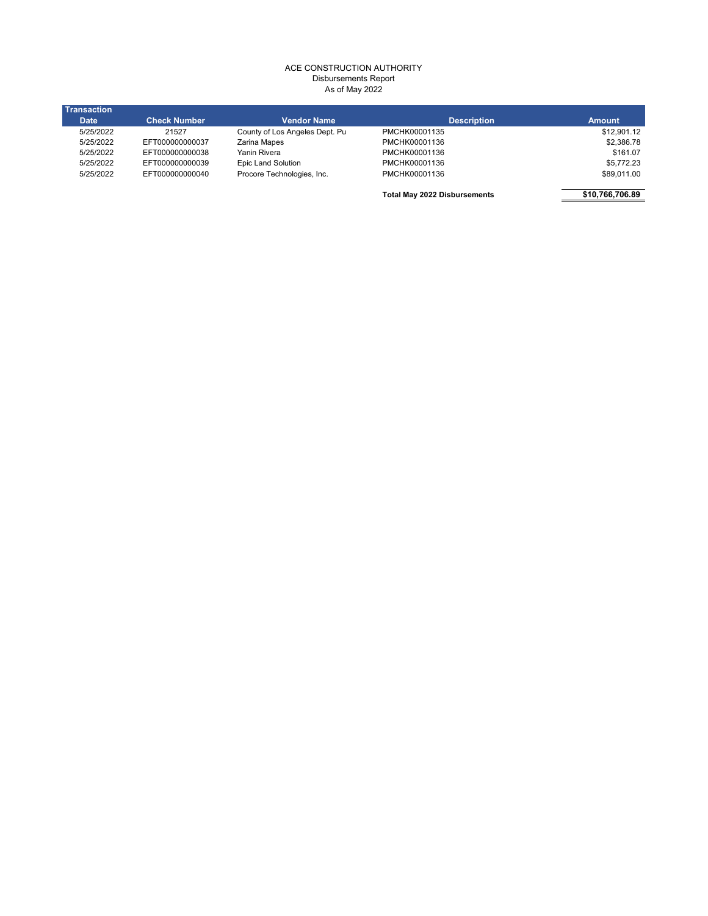## ACE CONSTRUCTION AUTHORITY Disbursements Report As of May 2022

| <b>Transaction</b> |                     |                                |                                     |                 |
|--------------------|---------------------|--------------------------------|-------------------------------------|-----------------|
| <b>Date</b>        | <b>Check Number</b> | <b>Vendor Name</b>             | <b>Description</b>                  | <b>Amount</b>   |
| 5/25/2022          | 21527               | County of Los Angeles Dept. Pu | PMCHK00001135                       | \$12,901.12     |
| 5/25/2022          | EFT000000000037     | Zarina Mapes                   | PMCHK00001136                       | \$2,386.78      |
| 5/25/2022          | EFT000000000038     | Yanin Rivera                   | PMCHK00001136                       | \$161.07        |
| 5/25/2022          | EFT000000000039     | Epic Land Solution             | PMCHK00001136                       | \$5,772.23      |
| 5/25/2022          | EFT000000000040     | Procore Technologies, Inc.     | PMCHK00001136                       | \$89,011.00     |
|                    |                     |                                | <b>Total May 2022 Disbursements</b> | \$10,766,706.89 |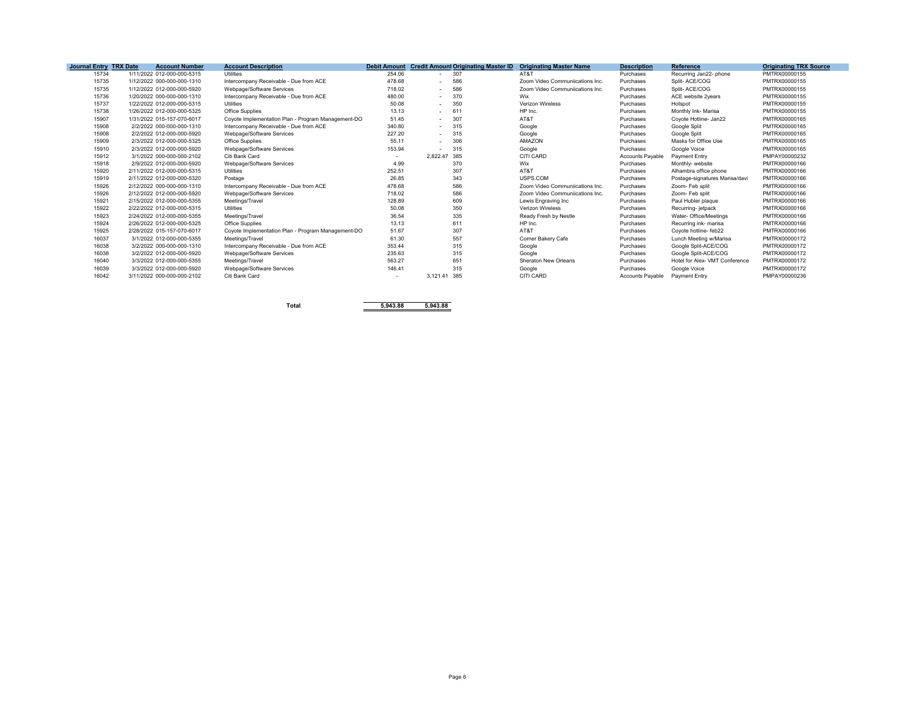| Journal Entry TRX Date | <b>Account Number</b>      | <b>Account Description</b>                         | <b>Debit Amount</b> | <b>Credit Amount Originating Master ID</b> | <b>Originating Master Name</b>  | <b>Description</b>      | Reference                      | <b>Originating TRX Source</b> |
|------------------------|----------------------------|----------------------------------------------------|---------------------|--------------------------------------------|---------------------------------|-------------------------|--------------------------------|-------------------------------|
| 15734                  | 1/11/2022 012-000-000-5315 | <b>Utilities</b>                                   | 254.06              | 307<br>$\sim$                              | AT&T                            | Purchases               | Recurring Jan22- phone         | PMTRX00000155                 |
| 15735                  | 1/12/2022 000-000-000-1310 | Intercompany Receivable - Due from ACE             | 478.68              | 586<br>$\overline{\phantom{a}}$            | Zoom Video Communiications Inc. | Purchases               | Split-ACE/COG                  | PMTRX00000155                 |
| 15735                  | 1/12/2022 012-000-000-5920 | Webpage/Software Services                          | 718.02              | 586<br>$\sim$                              | Zoom Video Communiications Inc. | Purchases               | Split-ACE/COG                  | PMTRX00000155                 |
| 15736                  | 1/20/2022 000-000-000-1310 | Intercompany Receivable - Due from ACE             | 480.00              | 370<br>$\overline{\phantom{a}}$            | Wix                             | Purchases               | ACE website 2vears             | PMTRX00000155                 |
| 15737                  | 1/22/2022 012-000-000-5315 | <b>Utilities</b>                                   | 50.08               | 350<br>$\sim$                              | <b>Verizon Wireless</b>         | Purchases               | Hotspot                        | PMTRX00000155                 |
| 15738                  | 1/26/2022 012-000-000-5325 | <b>Office Supplies</b>                             | 13.13               | 611<br>$\sim$                              | HP Inc.                         | Purchases               | Monthly Ink- Marisa            | PMTRX00000155                 |
| 15907                  | 1/31/2022 015-157-070-6017 | Coyote Implementation Plan - Program Management-DO | 51.45               | 307<br>$\sim$                              | AT&T                            | Purchases               | Coyote Hotline- Jan22          | PMTRX00000165                 |
| 15908                  | 2/2/2022 000-000-000-1310  | Intercompany Receivable - Due from ACE             | 340.80              | 315<br>$\overline{\phantom{a}}$            | Google                          | Purchases               | Google Split                   | PMTRX00000165                 |
| 15908                  | 2/2/2022 012-000-000-5920  | Webpage/Software Services                          | 227.20              | 315<br>$\sim$                              | Google                          | Purchases               | Google Split                   | PMTRX00000165                 |
| 15909                  | 2/3/2022 012-000-000-5325  | <b>Office Supplies</b>                             | 55.11               | 306<br>$\overline{\phantom{a}}$            | AMAZON                          | Purchases               | Masks for Office Use           | PMTRX00000165                 |
| 15910                  | 2/3/2022 012-000-000-5920  | Webpage/Software Services                          | 153.94              | 315                                        | Google                          | Purchases               | Google Voice                   | PMTRX00000165                 |
| 15912                  | 3/1/2022 000-000-000-2102  | Citi Bank Card                                     |                     | 2,822.47<br>385                            | CITI CARD                       | Accounts Pavable        | Payment Entry                  | PMPAY00000232                 |
| 15918                  | 2/9/2022 012-000-000-5920  | Webpage/Software Services                          | 4.99                | 370                                        | Wix                             | Purchases               | Monthly- website               | PMTRX00000166                 |
| 15920                  | 2/11/2022 012-000-000-5315 | <b>Utilities</b>                                   | 252.51              | 307                                        | AT&T                            | Purchases               | Alhambra office phone          | PMTRX00000166                 |
| 15919                  | 2/11/2022 012-000-000-5320 | Postage                                            | 26.85               | 343                                        | USPS.COM                        | Purchases               | Postage-signatures Marisa/davi | PMTRX00000166                 |
| 15926                  | 2/12/2022 000-000-000-1310 | Intercompany Receivable - Due from ACE             | 478.68              | 586                                        | Zoom Video Communiications Inc. | Purchases               | Zoom- Feb split                | PMTRX00000166                 |
| 15926                  | 2/12/2022 012-000-000-5920 | Webpage/Software Services                          | 718.02              | 586                                        | Zoom Video Communiications Inc. | Purchases               | Zoom- Feb split                | PMTRX00000166                 |
| 15921                  | 2/15/2022 012-000-000-5355 | Meetings/Travel                                    | 128.89              | 609                                        | Lewis Engraving Inc             | Purchases               | Paul Hubler plaque             | PMTRX00000166                 |
| 15922                  | 2/22/2022 012-000-000-5315 | <b>Utilities</b>                                   | 50.08               | 350                                        | Verizon Wireless                | Purchases               | Recurring-jetpack              | PMTRX00000166                 |
| 15923                  | 2/24/2022 012-000-000-5355 | Meetings/Travel                                    | 36.54               | 335                                        | Ready Fresh by Nestle           | Purchases               | Water- Office/Meetings         | PMTRX00000166                 |
| 15924                  | 2/26/2022 012-000-000-5325 | <b>Office Supplies</b>                             | 13.13               | 611                                        | HP Inc.                         | Purchases               | Recurring ink- marisa          | PMTRX00000166                 |
| 15925                  | 2/28/2022 015-157-070-6017 | Covote Implementation Plan - Program Management-DO | 51.67               | 307                                        | AT&T                            | Purchases               | Covote hotline- feb22          | PMTRX00000166                 |
| 16037                  | 3/1/2022 012-000-000-5355  | Meetings/Travel                                    | 61.30               | 557                                        | Corner Bakery Cafe              | Purchases               | Lunch Meeting w/Marisa         | PMTRX00000172                 |
| 16038                  | 3/2/2022 000-000-000-1310  | Intercompany Receivable - Due from ACE             | 353.44              | 315                                        | Google                          | Purchases               | Google Split-ACE/COG           | PMTRX00000172                 |
| 16038                  | 3/2/2022 012-000-000-5920  | Webpage/Software Services                          | 235.63              | 315                                        | Google                          | Purchases               | Google Split-ACE/COG           | PMTRX00000172                 |
| 16040                  | 3/3/2022 012-000-000-5355  | Meetings/Travel                                    | 563.27              | 651                                        | Sheraton New Orleans            | Purchases               | Hotel for Alex- VMT Conference | PMTRX00000172                 |
| 16039                  | 3/3/2022 012-000-000-5920  | Webpage/Software Services                          | 146.41              | 315                                        | Google                          | Purchases               | Google Voice                   | PMTRX00000172                 |
| 16042                  | 3/11/2022 000-000-000-2102 | Citi Bank Card                                     |                     | 385<br>3.121.41                            | CITI CARD                       | <b>Accounts Pavable</b> | Payment Entry                  | PMPAY00000236                 |
|                        |                            |                                                    |                     |                                            |                                 |                         |                                |                               |

**Total 5,943.88 5,943.88**

Page 6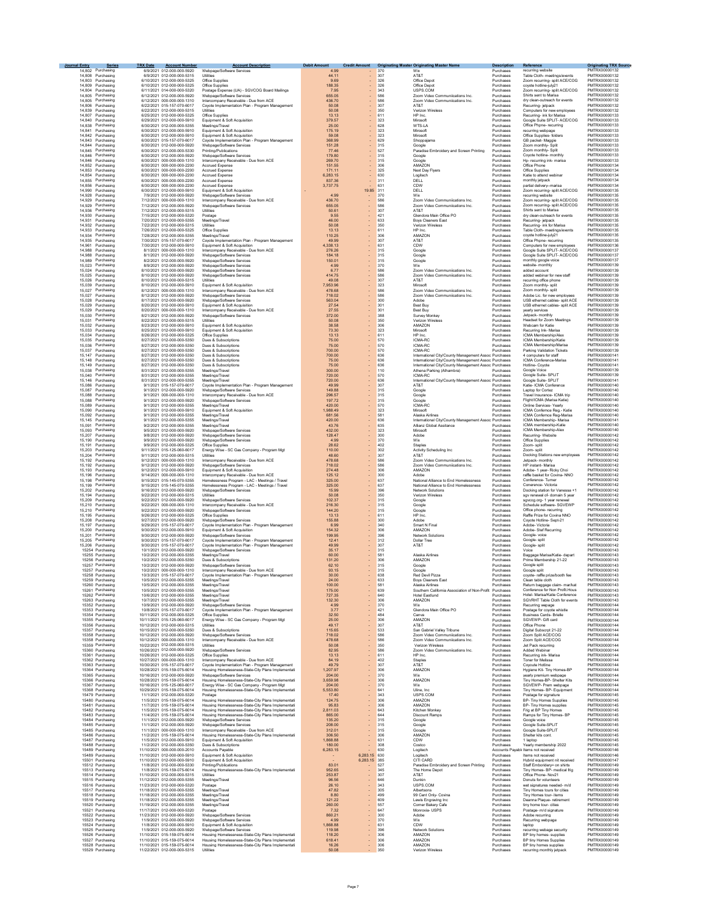| Journal Entry    | <b>Series</b><br>14.802 Purchasing     | <b>TRX Date</b> | <b>Account Number</b><br>6/9/2021 012-000-000-5920         | <b>Account Description</b><br>Webpage/Software Services                         | <b>Debit Amount</b><br>4.99 | <b>Credit Amount</b> | 370        | <b>Originating Master Originating Master Name</b><br>Wix                         | <b>Description</b><br>Purchases | Reference<br>recurring website                                   | <b>Originating TRX Source</b><br>PMTRX00000132 |  |
|------------------|----------------------------------------|-----------------|------------------------------------------------------------|---------------------------------------------------------------------------------|-----------------------------|----------------------|------------|----------------------------------------------------------------------------------|---------------------------------|------------------------------------------------------------------|------------------------------------------------|--|
|                  | 14,808 Purchasing                      |                 | 6/9/2021 012-000-000-5315                                  | Utilities                                                                       | 44.11                       |                      | 307        | AT&T                                                                             | Purchases                       | Table Cloth- meetings/events                                     | PMTRX00000132                                  |  |
|                  | 14,803 Purchasing                      |                 | 6/10/2021 012-000-000-5325                                 | Office Supplies                                                                 | 9.69                        | ÷,                   | 326        | Office Depot                                                                     | Purchases                       | Zoom recurring- split ACE/COG                                    | PMTRX00000132                                  |  |
|                  | 14.809 Purchasing                      |                 | 6/10/2021 012-000-000-5325                                 | Office Supplies                                                                 | 188.35                      | ÷                    | 326        | Office Depot                                                                     | Purchases                       | coyote hotline-july21                                            | PMTRX00000132                                  |  |
| 14,804           | Purchasing<br>14,805 Purchasing        |                 | 6/11/2021 014-000-000-5320<br>6/12/2021 012-000-000-5920   | Postage Expense (UA) - SGVCOG Board Mailings<br>Webpage/Software Services       | 7.95<br>655.05              |                      | 343<br>586 | USPS.COM<br>Zoom Video Communiications Inc.                                      | Purchases<br>Purchases          | Zoom recurring- split ACE/COG<br>Shirts sent to Marisa           | PMTRX00000132<br>PMTRX00000132                 |  |
|                  | 14,805 Purchasing                      |                 | 6/12/2021 000-000-000-1310                                 | Intercompany Receivable - Due from ACE                                          | 436.70                      | ä,                   | 586        | Zoom Video Communiications Inc.                                                  | Purchases                       | dry clean-outreach for events                                    | PMTRX00000132                                  |  |
|                  | 14 806 Purchasing                      |                 | 6/22/2021 015-157-070-6017                                 | Covote Implementation Plan - Program Management                                 | 50.08                       |                      | 307        | AT&T                                                                             | Purchases                       | Recurring- jetnack                                               | PMTRX00000132                                  |  |
|                  | 14.839 Purchasing                      |                 | 6/22/2021 012-000-000-5315                                 | Utilities                                                                       | 50.08                       | ä,                   | 350        | Verizon Wireless                                                                 | Purchases                       | Computers for new employees                                      | PMTRX00000132                                  |  |
| 14,840           | 14.807 Purchasing<br>Purchasing        |                 | 6/25/2021 012-000-000-5325<br>6/29/2021 012-000-000-5910   | Office Supplies<br>Equipment & Soft Acquisition                                 | 13.13<br>379.57             | ä,<br>ä,             | 611<br>323 | HP Inc.<br>Mirosoft                                                              | Purchases<br>Purchases          | Recurring- ink for Marisa<br>Google Suite SPLIT- ACE/COG         | PMTRX00000133<br>PMTRX00000133                 |  |
|                  | 14,838 Purchasing                      |                 | 6/30/2021 012-000-000-5355                                 | Meetings/Travel                                                                 | 25.00                       |                      | 628        | WTS-LA                                                                           | Purchases                       | Office Phpne- recurring                                          | PMTRX00000133                                  |  |
| 14,841           | Purchasing                             |                 | 6/30/2021 012-000-000-5910                                 | Equipment & Soft Acquisition                                                    | 175.19                      | ä,                   | 323        | Mirosoft                                                                         | Purchases                       | recurring webpage                                                | PMTRX00000133                                  |  |
|                  | 14,842 Purchasing                      |                 | 6/30/2021 012-000-000-5910                                 | Equipment & Soft Acquisition                                                    | 59.08                       |                      | 323        | Mirosoft                                                                         | Purchases                       | Office Supplies- folders                                         | PMTRX00000133                                  |  |
|                  | 14,843 Purchasing<br>14,844 Purchasing |                 | 6/30/2021 015-157-070-6017<br>6/30/2021 012-000-000-5920   | Covote Implementation Plan - Program Management<br>Webpage/Software Services    | 368.99<br>151.28            |                      | 629<br>315 | Shoppajama<br>Google                                                             | Purchases<br>Purchases          | GB packet- Maggie<br>Zoom monthly- Split                         | PMTRX00000133<br>PMTRX00000133                 |  |
|                  | 14 845 Purchasing                      |                 | 6/30/2021 012-000-000-5330                                 | Printing/Publications                                                           | 77.46                       |                      | 527        | Paradise Embroidery and Screen Printing                                          | Purchases                       | Zoom monthly- Split                                              | PMTRX00000133                                  |  |
|                  | 14.846 Purchasing                      |                 | 6/30/2021 012-000-000-5920                                 | Webpage/Software Services                                                       | 179.80                      | ÷,                   | 315        | Google                                                                           | Purchases                       | Coyote hotline- monthly                                          | PMTRX00000133                                  |  |
|                  | 14,846 Purchasing                      |                 | 6/30/2021 000-000-000-1310                                 | Intercompany Receivable - Due from ACE                                          | 269.70                      | ä,                   | 315        | Google                                                                           | Purchases                       | Hp- recurring ink- marisa                                        | PMTRX00000133<br>PMTRX00000134                 |  |
|                  | 14,852 Purchasing<br>14,853 Purchasing |                 | 6/30/2021 000-000-000-2200<br>6/30/2021 000-000-000-2200   | Accrued Expense<br><b>Accrued Expense</b>                                       | 151.55<br>171.11            | ä,<br>÷              | 306<br>325 | AMAZON<br>Next Day Flyers                                                        | Purchases<br>Purchases          | Office Phone<br>Office Supplies                                  | PMTRX00000134                                  |  |
|                  | 14,854 Purchasing                      |                 | 6/30/2021 000-000-000-2200                                 | Accrued Expense                                                                 | 6,283.15                    |                      | 630        | Logitech                                                                         | Purchases                       | Katie to attend webina                                           | PMTRX00000134                                  |  |
|                  | 14,855 Purchasing                      |                 | 6/30/2021 000-000-000-2200                                 | Accrued Expense                                                                 | 837.36                      |                      | 311        | DELL                                                                             | Purchases                       | monthly jetpack                                                  | PMTRX00000134                                  |  |
|                  | 14.856 Purchasing<br>14 990 Purchasing |                 | 6/30/2021 000-000-000-2200                                 | Accrued Expense<br>Equipment & Soft Acquisition                                 | 3,737.75                    |                      | 631        | CDW                                                                              | Purchases                       | partial delivery--marisa<br>Zoom recurring- split ACE/COG        | PMTRX00000134<br>PMTRX00000135                 |  |
|                  | 14.928 Purchasing                      |                 | 6/30/2021 012-000-000-5910<br>7/9/2021 012-000-000-5920    | Webpage/Software Services                                                       | 4.99                        | 19.85                | 311<br>370 | DELL<br>Wix                                                                      | Purchases<br>Purchases          | recurring website                                                | PMTRX00000135                                  |  |
|                  | 14.929 Purchasing                      |                 | 7/12/2021 000-000-000-1310                                 | Intercompany Receivable - Due from ACE                                          | 436.70                      |                      | 586        | Zoom Video Communiications Inc.                                                  | Purchases                       | Zoom recurring- split ACE/COG                                    | PMTRX00000135                                  |  |
|                  | 14,929 Purchasing                      |                 | 7/12/2021 012-000-000-5920                                 | Webpage/Software Services                                                       | 655.05                      |                      | 586        | Zoom Video Communiications Inc.                                                  | Purchases                       | Zoom recurring- split ACE/COG                                    | PMTRX00000135                                  |  |
|                  | 14,936 Purchasing<br>14,930 Purchasing |                 | 7/12/2021 012-000-000-5315<br>7/15/2021 012-000-000-5320   | Utilities<br>Postage                                                            | 50.61<br>9.55               |                      | 307<br>421 | AT&T<br>Glendora Main Office PO                                                  | Purchases<br>Purchases          | Shirts sent to Marisa<br>dry clean-outreach for events           | PMTRX00000135<br>PMTRX00000135                 |  |
|                  | 14,931 Purchasing                      |                 | 7/20/2021 012-000-000-5355                                 | Meetings/Trave                                                                  | 46.00                       |                      | 633        | Boys Cleaners East                                                               | Purchases                       | Recurring-jetpack                                                | PMTRX00000135                                  |  |
|                  | 14.932 Purchasing                      |                 | 7/22/2021 012-000-000-5315                                 | <b>Utilities</b>                                                                | 50.08                       |                      | 350        | Verizon Wireless                                                                 | Purchases                       | Recurring- ink for Marisa                                        | PMTRX00000135                                  |  |
|                  | 14.933 Purchasing<br>14.934 Purchasing |                 | 7/26/2021 012-000-000-5325<br>7/28/2021 012-000-000-5355   | Office Supplies<br>Meetings/Travel                                              | 13.13<br>110.25             |                      | 611<br>306 | HP Inc.<br>AMAZON                                                                | Purchases<br>Purchases          | Table Cloth- meetings/events<br>coyote hotline-july21            | PMTRX00000135<br>PMTRX00000135                 |  |
|                  | 14.935 Purchasing                      |                 | 7/30/2021 015-157-070-6017                                 | Covote Implementation Plan - Program Management                                 | 49.99                       |                      | 307        | AT&T                                                                             | Purchases                       | Office Phone- recurring                                          | PMTRX00000135                                  |  |
| 14,961           | Purchasing                             |                 | 7/30/2021 012-000-000-5910                                 | Equipment & Soft Acquisition                                                    | 4.338.13                    |                      | 631        | CDW                                                                              | Purchases                       | Computers for new employees                                      | PMTRX00000136                                  |  |
|                  | 14,988 Purchasing                      |                 | 8/1/2021 000-000-000-1310                                  | Intercompany Receivable - Due from ACE                                          | 276.26                      |                      | 315        | Google                                                                           | Purchases                       | Google Suite SPLIT- ACE/COG                                      | PMTRX00000137                                  |  |
| 14,988<br>14,989 | Purchasing<br>Purchasing               |                 | 8/1/2021 012-000-000-5920<br>8/2/2021 012-000-000-5920     | Webpage/Software Services<br>Webpage/Software Services                          | 184.18<br>150.01            |                      | 315<br>315 | Google<br>Google                                                                 | Purchases<br>Purchases          | Google Suite SPLIT- ACE/COG<br>monthly google voice              | PMTRX00000137<br>PMTRX00000137                 |  |
|                  | 15,023 Purchasing                      |                 | 8/9/2021 012-000-000-5920                                  | Webpage/Software Services                                                       | 4.99                        |                      | 370        | Wix                                                                              | Purchases                       | website- monthly                                                 | PMTRX00000139                                  |  |
| 15.024           | Purchasing                             |                 | 8/10/2021 012-000-000-5920                                 | Webpage/Software Services                                                       | 6.77                        |                      | 586        | Zoom Video Communiications Inc.                                                  | Purchases                       | added account                                                    | PMTRX00000139                                  |  |
| 15.026           | 15.025 Purchasing<br>Purchasing        |                 | 8/10/2021 012-000-000-5920<br>8/10/2021 012-000-000-5315   | Webpage/Software Services<br>Utilities                                          | 41475<br>49.08              |                      | 586<br>307 | Zoom Video Communiications Inc.<br>AT&T                                          | Purchases<br>Purchases          | added webinar for new staff                                      | PMTRX00000139<br>PMTRX00000139                 |  |
| 15.039           | Purchasing                             |                 | 8/10/2021 012-000-000-5910                                 | Equipment & Soft Acquisition                                                    | 7.953.96                    |                      | 323        | Mirosoft                                                                         | Purchases                       | recurring office phone<br>Zoom monthly- split                    | PMTRX00000139                                  |  |
| 15,027           | Purchasing                             |                 | 8/12/2021 000-000-000-1310                                 | Intercompany Receivable - Due from ACE                                          | 478.68                      |                      | 586        | Zoom Video Communiications Inc.                                                  | Purchases                       | Zoom monthly- split                                              | PMTRX00000139                                  |  |
| 15,027           | Purchasing                             |                 | 8/12/2021 012-000-000-5920                                 | Webpage/Software Services                                                       | 718.02                      |                      | 586        | Zoom Video Communiications Inc.                                                  | Purchases                       | Adobe Lic. for new employees                                     | PMTRX00000139                                  |  |
|                  | 15,028 Purchasing<br>15,029 Purchasing |                 | 8/17/2021 012-000-000-5920<br>8/20/2021 012-000-000-5910   | Webpage/Software Services<br>Equipment & Soft Acquisition                       | 563.04<br>27.54             |                      | 300<br>301 | Adobe<br><b>Best Buy</b>                                                         | Purchases<br>Purchases          | USB ethernet cables- split ACE<br>USB ethernet cables- split ACE | PMTRX00000139<br>PMTRX00000139                 |  |
|                  | 15.029 Purchasing                      |                 | 8/20/2021 000-000-000-1310                                 | Intercompany Receivable - Due from ACE                                          | 27.55                       |                      | 301        | Best Buy                                                                         | Purchases                       | yearly services                                                  | PMTRX00000139                                  |  |
|                  | 15,030 Purchasing                      |                 | 8/21/2021 012-000-000-5920                                 | Webnage/Software Services                                                       | 372.00                      |                      | 388        | Survey Monkey                                                                    | Purchases                       | Jetpack- monthly                                                 | PMTRX00000139                                  |  |
|                  | 15.031 Purchasing                      |                 | 8/22/2021 012-000-000-5315                                 | Utilities                                                                       | 50.08                       |                      | 350        | Verizon Wireless                                                                 | Purchases                       | Headset for Zoom Meetings                                        | PMTRX00000139                                  |  |
|                  | 15,032 Purchasing<br>15,033 Purchasing |                 | 8/23/2021 012-000-000-5910<br>8/25/2021 012-000-000-5910   | Equipment & Soft Acquisition<br>Equipment & Soft Acquisition                    | 38.58<br>73.30              |                      | 306<br>323 | AMAZON<br>Mirosoft                                                               | Purchases<br>Purchases          | Webcam for Katie<br>Recurring Ink- Marisa                        | PMTRX00000139<br>PMTRX00000139                 |  |
|                  | 15,034 Purchasing                      |                 | 8/26/2021 012-000-000-5325                                 | Office Supplies                                                                 | 13.13                       |                      | 611        | HP Inc.                                                                          | Purchases                       | ICMA Membership/Alex                                             | PMTRX00000139                                  |  |
| 15,035           | Purchasing                             |                 | 8/27/2021 012-000-000-5350                                 | Dues & Subscriptions                                                            | 75.00                       |                      | 570        | ICMA-RC                                                                          | Purchases                       | ICMA Membership/Katie                                            | PMTRX00000139                                  |  |
|                  | 15,036 Purchasing<br>15.037 Purchasing |                 | 8/27/2021 012-000-000-5350<br>8/27/2021 012-000-000-5350   | Dues & Subscriptions<br>Dues & Subscriptions                                    | 75.00<br>700.00             |                      | 570        | ICMA-RC<br>ICMA-RC                                                               | Purchases                       | ICMA Membership/Marisa                                           | PMTRX00000139<br>PMTRX00000139                 |  |
|                  | 15.147 Purchasing                      |                 | 8/27/2021 012-000-000-5350                                 | Dues & Subscriptions                                                            | 700.00                      |                      | 570<br>636 | International City/County Management Assoc Purchases                             | Purchases                       | Parking Validation Tickets<br>4 computers for staff              | PMTRX00000141                                  |  |
|                  | 15.148 Purchasing                      |                 | 8/27/2021 012-000-000-5350                                 | Dues & Subscriptions                                                            | 75.00                       |                      | 636        | International City/County Management Assoc Purchases                             |                                 | ICMA Conference-Marisa                                           | PMTRX00000141                                  |  |
|                  | 15.149 Purchasing                      |                 | 8/27/2021 012-000-000-5350                                 | Dues & Subscriptions                                                            | 75.00                       |                      | 636        | International City/County Management Assoc Purchases                             |                                 | Hotline-Covote                                                   | PMTRX00000141                                  |  |
|                  | 15,038 Purchasing<br>15,040 Purchasing |                 | 8/31/2021 012-000-000-5355                                 | Meetings/Travel<br>Meetings/Travel                                              | 300.00                      |                      | 110<br>570 | Athena Parking (Alhambra)<br>ICMA-RC                                             | Purchases                       | Google Voice                                                     | PMTRX00000139<br>PMTRX00000139                 |  |
|                  | 15,146 Purchasing                      |                 | 8/31/2021 012-000-000-5355<br>8/31/2021 012-000-000-5355   | Meetings/Travel                                                                 | 720.00<br>720.00            |                      | 636        | International City/County Management Assoc Purchases                             | Purchases                       | Google Suite- SPLIT<br>Google Suite- SPLIT                       | PMTRX00000141                                  |  |
| 15,086           | Purchasing                             |                 | 9/1/2021 015-157-070-6017                                  | Coyote Implementation Plan - Program Management                                 | 49.99                       |                      | 307        | AT&T                                                                             | Purchases                       | Katie- ICMA Conference                                           | PMTRX00000140                                  |  |
|                  | 15,087 Purchasing                      |                 | 9/1/2021 012-000-000-5920                                  | Webpage/Software Services                                                       | 149.88                      |                      | 315        | Google                                                                           | Purchases                       | Laptop for Cortez                                                | PMTRX00000140                                  |  |
| 15,088           | Purchasing                             |                 | 9/1/2021 000-000-000-1310                                  | Intercompany Receivable - Due from ACE                                          | 296.57                      |                      | 315        | Google                                                                           | Purchases                       | Travel Insurance- ICMA trip                                      | PMTRX00000140                                  |  |
|                  | 15.088 Purchasing<br>15.089 Purchasing |                 | 9/1/2021 012-000-000-5920<br>9/1/2021 012-000-000-5355     | Webpage/Software Services<br>Meetings/Travel                                    | 197.72<br>420.00            |                      | 315<br>570 | Google<br>ICMA-RC                                                                | Purchases<br>Purchases          | Flight/ICMA (Marisa Katie)<br>Online Services- Yearly            | PMTRX00000140<br>PMTRX00000140                 |  |
|                  | 15,090 Purchasing                      |                 | 9/1/2021 012-000-000-5910                                  | Equipment & Soft Acquisition                                                    | 1.988.49                    |                      | 323        | Mirosoft                                                                         | Purchases                       | ICMA Confernce Reg.- Katie                                       | PMTRX00000140                                  |  |
|                  | 15,092 Purchasing                      |                 | 9/1/2021 012-000-000-5355                                  | Meetings/Travel                                                                 | 681.56                      |                      | 581        | Alaska Airlines                                                                  | Purchases                       | ICMA Confernce Reg-Marisa                                        | PMTRX00000140                                  |  |
| 15,091           | 15,145 Purchasing<br>Purchasing        |                 | 9/1/2021 012-000-000-5355<br>9/2/2021 012-000-000-5355     | Meetings/Travel                                                                 | 420.00<br>43.76             |                      | 636<br>635 | International City/County Management Assoc Purchases<br>Allianz Global Assitance | Purchases                       | ICMA Membership- Marisa<br>ICMA membership-Katie                 | PMTRX00000141<br>PMTRX00000140                 |  |
| 15,093           | Purchasing                             |                 | 9/5/2021 012-000-000-5920                                  | Meetings/Travel<br>Webpage/Software Services                                    | 432.00                      |                      | 323        | Mirosoft                                                                         | Purchases                       | ICMA Membership-Alex                                             | PMTRX00000140                                  |  |
|                  | 15,207 Purchasing                      |                 | 9/8/2021 012-000-000-5920                                  | Webpage/Software Services                                                       | 128.47                      |                      | 300        | Adobe                                                                            | Purchases                       | Recurring-Website                                                | PMTRX00000142                                  |  |
|                  | 15,190 Purchasing                      |                 | 9/9/2021 012-000-000-5920                                  | Webpage/Software Services                                                       | 4.99                        |                      | 370        | Wix                                                                              | Purchases                       | Office Supplies                                                  | PMTRX00000142                                  |  |
| 15,203           | 15.191 Purchasing<br>Purchasing        |                 | 9/9/2021 012-000-000-5325<br>9/11/2021 015-125-060-6017    | Office Supplies                                                                 | 28.62<br>110.00             |                      | 402<br>302 | <b>Staples</b><br>Activity Scheduling Inc.                                       | Purchases<br>Purchases          | Zoom- split<br>Zoom- split                                       | PMTRX00000142<br>PMTRX00000142                 |  |
|                  | 15,204 Purchasing                      |                 | 9/11/2021 012-000-000-5315                                 | Energy Wise - SC Gas Company - Program Mgt<br>Utilities                         | 48.60                       |                      | 307        | AT&T                                                                             | Purchases                       | Docking Stations new employees                                   | PMTRX00000142                                  |  |
|                  | 15,192 Purchasing                      |                 | 9/12/2021 000-000-000-1310                                 | Intercompany Receivable - Due from ACE                                          | 478.68                      |                      | 586        | Zoom Video Communiications Inc.                                                  | Purchases                       | Jetpack- monthly                                                 | PMTRX00000142                                  |  |
| 15,192           | Purchasing                             |                 | 9/12/2021 012-000-000-5920                                 | Webpage/Software Services                                                       | 718.02                      |                      | 586        | Zoom Video Communiications Inc.                                                  | Purchases                       | HP instant- Marisa                                               | PMTRX00000142                                  |  |
|                  | 15,193 Purchasing<br>15.196 Purchasing |                 | 9/12/2021 012-000-000-5910<br>9/14/2021 000-000-000-1310   | Equipment & Soft Acquisition<br>Intercompany Receivable - Due from ACE          | 274.48<br>125.12            |                      | 306<br>300 | AMAZON<br>Adobe                                                                  | Purchases<br>Purchases          | Adobe- 1 year- Ricky Choi<br>raffle basket for Covina- NNO       | PMTRX00000142<br>PMTRX00000142                 |  |
|                  | 15.198 Purchasing                      |                 | 9/15/2021 015-145-070-5355                                 | Homelessness Program - LAC - Meetings / Travel                                  | 325.00                      |                      | 637        | National Alliance to End Homelessness                                            | Purchases                       | Conference-Turner                                                | PMTRX00000142                                  |  |
|                  | 15.199 Purchasing                      |                 | 9/15/2021 015-145-070-5355                                 | Homelessness Program - LAC - Meetings / Travel                                  | 325.00                      |                      | 637        | National Alliance to End Homelessness                                            | Purchases                       | Conerence- Victoria                                              | PMTRX00000142                                  |  |
|                  | 15.202 Purchasing<br>15,194 Purchasing |                 | 9/16/2021 012-000-000-5920<br>9/22/2021 012-000-000-5315   | Webpage/Software Services                                                       | 15.99                       |                      | 396<br>350 | Network Solutions<br>Verizon Wireless                                            | Purchases<br>Purchases          | Docking station for Vanessa +1<br>sgv renewal of- domain 5 year  | PMTRX00000142<br>PMTRX00000142                 |  |
|                  | 15,209 Purchasing                      |                 | 9/22/2021 012-000-000-5920                                 | Utilities<br>Webpage/Software Services                                          | 50.08<br>102.37             |                      | 315        | Google                                                                           | Purchases                       | sgvcog.org- 1 year renewal                                       | PMTRX00000142                                  |  |
|                  | 15,210 Purchasing                      |                 | 9/22/2021 000-000-000-1310                                 | Intercompany Receivable - Due from ACE                                          | 216.30                      |                      | 315        | Google                                                                           | Purchases                       | Schedule software- SGVEWP                                        | PMTRX00000142                                  |  |
|                  | 15,210 Purchasing                      |                 | 9/22/2021 012-000-000-5920                                 | Webpage/Software Services                                                       | 144.20                      |                      | 315        | Google                                                                           | Purchases                       | Office phone- recurring                                          | PMTRX00000142                                  |  |
|                  | 15,195 Purchasing<br>15,208 Purchasing |                 | 9/26/2021 012-000-000-5325<br>9/27/2021 012-000-000-5920   | Office Supplies<br>Webpage/Software Services                                    | 13.13<br>155.88             |                      | 611<br>300 | HP Inc.<br>Adobe                                                                 | Purchases<br>Purchases          | Raffle Prize for Covina NNO<br>Coyote Hotline- Sept-21           | PMTRX00000142<br>PMTRX00000142                 |  |
|                  | 15.197 Purchasing                      |                 | 9/29/2021 015-157-070-6017                                 | Coyote Implementation Plan - Program Management                                 | 6.99                        |                      | 340        | Smart N Final                                                                    | Purchases                       | Adobe-Victoria                                                   | PMTRX00000142                                  |  |
|                  | 15.200 Purchasing                      |                 | 9/30/2021 012-000-000-5910                                 | Equipment & Soft Acquisition                                                    | 154.32                      |                      | 306        | AMAZON                                                                           | Purchases                       | Adobe- Stef Recurring                                            | PMTRX00000142                                  |  |
|                  | 15.201 Purchasing                      |                 | 9/30/2021 012-000-000-5920                                 | Webpage/Software Services<br>Coyote Implementation Plan - Program Management    | 199.95                      |                      | 396        | Network Solutions                                                                | Purchases                       | Google- voice                                                    | PMTRX00000142                                  |  |
|                  | 15,205 Purchasing<br>15,206 Purchasing |                 | 9/30/2021 015-157-070-6017<br>9/30/2021 015-157-070-6017   | Coyote Implementation Plan - Program Management                                 | 12.41<br>49.99              |                      | 312<br>307 | Dollar Tree<br>AT&T                                                              | Purchases<br>Purchases          | Google- split<br>Google- split                                   | PMTRX00000142<br>PMTRX00000142                 |  |
|                  | 15254 Purchasing                       |                 | 10/1/2021 012-000-000-5920                                 | Webpage/Software Services                                                       | 35.17                       |                      | 315        |                                                                                  | Purchases                       | Voice                                                            | PMTRX00000143                                  |  |
|                  | 15255 Purchasing                       |                 | 10/2/2021 012-000-000-5355                                 | Meetings/Travel                                                                 | 60.00                       |                      | 581        | Alaska Airlines                                                                  | Purchases                       | Baggage Marisa/Katie- depart                                     | PMTRX00000143                                  |  |
|                  | 15256 Purchasing<br>15257 Purchasing   |                 | 10/2/2021 012-000-000-5350<br>10/2/2021 012-000-000-5920   | Dues & Subscriptions<br>Webpage/Software Services                               | 131.20<br>62.10             |                      | 306<br>315 | AMAZON                                                                           | Purchases<br>Purchases          | Prime Membership 21-22<br>Google split                           | PMTRX00000143<br>PMTRX00000143                 |  |
|                  | 15257 Purchasing                       |                 | 10/2/2021 000-000-000-1310                                 | Intercompany Receivable - Due from ACE                                          | 93.15                       |                      | 315        | Google<br>Google                                                                 | Purchases                       | Google split                                                     | PMTRX00000143                                  |  |
|                  | 15258 Purchasing                       |                 | 10/3/2021 015-157-070-6017                                 | Coyote Implementation Plan - Program Management                                 | 30.00                       |                      | 638        | Red Devil Pizza                                                                  | Purchases                       | coyote- raffle prize/booth fee                                   | PMTRX00000143                                  |  |
|                  | 15259 Purchasing                       |                 | 10/5/2021 012-000-000-5355                                 | Meetings/Travel<br>Meetings/Travel                                              | 24.00<br>100.00             |                      | 633        | Boys Cleaners East<br>Alaska Airlines                                            | Purchases<br>Purchases          | Clean table cloth                                                | PMTRX00000143<br>PMTRX00000143                 |  |
|                  | 15260 Purchasing<br>15261 Purchasing   |                 | 10/5/2021 012-000-000-5355<br>10/5/2021 012-000-000-5355   | Meetings/Travel                                                                 | 175.00                      |                      | 581<br>639 | Southern California Association of Non-Profit                                    | Purchases                       | Return baggage claim- mar/kat<br>Conference for Non Profit.Hous  | PMTRX00000143                                  |  |
|                  | 15262 Purchasing                       |                 | 10/6/2021 012-000-000-5355                                 | Meetings/Trave                                                                  | 727.35                      |                      | 640        | <b>Hotel Eastlund</b>                                                            | Purchases                       | Hotel- Marisa/Katie Conference                                   | PMTRX00000143                                  |  |
|                  | 15263 Purchasing<br>15352 Purchasing   |                 | 10/7/2021 012-000-000-5355<br>10/9/2021 012-000-000-5920   | Meetings/Travel                                                                 | 132.30<br>4.99              |                      | 306<br>370 | AMAZON<br>Wix                                                                    | Purchases<br>Purchases          | SGVRHT Table Cloth for events<br>Recurring wepage                | PMTRX00000143<br>PMTRX00000144                 |  |
|                  | 15353 Purchasing                       |                 | 10/8/2021 015-157-070-6017                                 | Webpage/Software Services<br>Covote Implementation Plan - Program Management    | 3.77                        |                      | 421        | Glendora Main Office PO                                                          | Purchases                       | Postage for covote whistle                                       | PMTRX00000144                                  |  |
|                  | 15354 Purchasing                       |                 | 10/11/2021 012-000-000-5325                                | Office Supplies                                                                 | 32.50                       | $\blacksquare$       | 484        | Canva                                                                            | Purchases                       | Business Cards- Brielle                                          | PMTRX00000144                                  |  |
|                  | 15355 Purchasing<br>15356 Purchasing   |                 | 10/11/2021 015-125-060-6017                                | Energy Wise - SC Gas Company - Program Mgt<br>Utilities                         | 25.00                       |                      | 306        | AMAZON<br>AT&T                                                                   | Purchases<br>Purchases          | SGVEWP- Gift card                                                | PMTRX00000144                                  |  |
|                  | 15357 Purchasing                       |                 | 10/12/2021 012-000-000-5315<br>10/15/2021 012-000-000-5350 | Dues & Subscriptions                                                            | 49.17<br>115.65             | $\blacksquare$       | 307<br>533 | San Gabriel Valley Tribune                                                       | Purchases                       | Office Phone<br>Digital Subscrpt 21-22                           | PMTRX00000144<br>PMTRX00000144                 |  |
|                  | 15358 Purchasing                       |                 | 10/12/2021 012-000-000-5920                                | Webpage/Software Services                                                       | 718.02                      |                      | 586        | Zoom Video Communiications Inc.                                                  | Purchases                       | Zoom Split ACE/COG                                               | PMTRX00000144                                  |  |
|                  | 15358 Purchasing                       |                 | 10/12/2021 000-000-000-1310                                | Intercompany Receivable - Due from ACE                                          | 478.68                      |                      | 586        | Zoom Video Communiications Inc.                                                  | Purchases                       | Zoom Split ACE/COG                                               | PMTRX00000144                                  |  |
|                  | 15359 Purchasing<br>15360 Purchasing   |                 | 10/22/2021 012-000-000-5315<br>10/26/2021 012-000-000-5920 | Utilities<br>Webpage/Software Services                                          | 50.08<br>82.95              |                      | 350<br>586 | Verizon Wireless<br>Zoom Video Communiications Inc.                              | Purchases<br>Purchases          | Jet Pack recurring<br>Added Webinar                              | PMTRX00000144<br>PMTRX00000144                 |  |
|                  | 15361 Purchasing                       |                 | 10/26/2021 012-000-000-5325                                | Office Supplies                                                                 | 13.13                       |                      | 611        | HP Inc.                                                                          | Purchases                       | Recurring ink- Marisa                                            | PMTRX00000144                                  |  |
|                  | 15362 Purchasing                       |                 | 10/27/2021 000-000-000-1310                                | Intercompany Receivable - Due from ACF                                          | 84.19                       |                      | 402        | <b>Staples</b>                                                                   | Purchases                       | <b>Toner for Melissa</b>                                         | PMTRX00000144                                  |  |
|                  | 15363 Purchasing                       |                 | 10/30/2021 015-157-070-6017                                | Coyote Implementation Plan - Program Management                                 | 49.79                       |                      | 307        | AT&T                                                                             | Purchases                       | Coyoute Hotline                                                  | PMTRX00000144                                  |  |
|                  | 15364 Purchasing<br>15365 Purchasing   |                 | 10/28/2021 015-159-075-6014<br>10/16/2021 012-000-000-5920 | Housing Homelessness-State-City Plans Implementati<br>Webpage/Software Services | 1,207.97<br>204.00          |                      | 306<br>370 | AMAZON<br>Wix                                                                    | Purchases<br>Purchases          | Hygiene Kit- Tiny Homes-BP<br>yearly premium webpage             | PMTRX00000144<br>PMTRX00000144                 |  |
|                  | 15366 Purchasing                       |                 | 10/28/2021 015-159-075-6014                                | Housing Homelessness-State-City Plans Implementati                              | 3,659.98                    |                      | 306        | AMAZON                                                                           | Purchases                       | Tiny Homes-BP- Shelter Kits                                      | PMTRX00000144                                  |  |
|                  | 15367 Purchasing                       |                 | 10/16/2021 015-125-060-6017                                | Energy Wise - SC Gas Company - Program Mgt                                      | 204.00                      |                      | 370        | Wix                                                                              | Purchases                       | SGVEWP- Prem webpage                                             | PMTRX00000144                                  |  |
|                  | 15368 Purchasing                       |                 | 10/29/2021 015-159-075-6014                                | Housing Homelessness-State-City Plans Implementati                              | 5.553.80                    |                      | 641<br>343 | Uline, Inc.<br>USPS.COM                                                          | Purchases                       | Tiny Homes- BP- Equipment                                        | PMTRX00000144<br>PMTRX00000145                 |  |
|                  | 15479 Purchasing<br>15480 Purchasing   |                 | 11/1/2021 012-000-000-5320<br>11/5/2021 015-159-075-6014   | Postage<br>Housing Homelessness-State-City Plans Implementati                   | 17.40<br>124.75             |                      | 306        | AMAZON                                                                           | Purchases<br>Purchases          | Postage for signature<br>BP- Tiny Homes Supplies                 | PMTRX00000145                                  |  |
|                  | 15481 Purchasing                       |                 | 11/7/2021 015-159-075-6014                                 | Housing Homelessness-State-City Plans Implementati                              | 95.83                       |                      | 306        | AMAZON                                                                           | Purchases                       | BP- Tiny Homes supplies                                          | PMTRX00000145                                  |  |
|                  | 15482 Purchasing<br>15483 Purchasing   |                 | 11/5/2021 015-159-075-6014                                 | Housing Homelessness-State-City Plans Implementati                              | 2.811.03                    |                      | 643        | Kitchen Monkey                                                                   | Purchases                       | Frig at BP Tiny Homes                                            | PMTRX00000145                                  |  |
|                  | 15484 Purchasing                       |                 | 11/4/2021 015-159-075-6014<br>11/1/2021 012-000-000-5920   | Housing Homelessness-State-City Plans Implementati<br>Webpage/Software Services | 865.00<br>135.20            |                      | 644<br>315 | <b>Discount Ramps</b><br>Google                                                  | Purchases<br>Purchases          | Ramps for Tiny Homes- BP<br>Google voice                         | PMTRX00000145<br>PMTRX00000145                 |  |
|                  | 15485 Purchasing                       |                 | 11/1/2021 012-000-000-5920                                 | Webpage/Software Services                                                       | 208.00                      |                      | 315        | Google                                                                           | Purchases                       | Google Suite-SPLIT                                               | PMTRX00000145                                  |  |
|                  | 15485 Purchasing                       |                 | 11/1/2021 000-000-000-1310                                 | Intercompany Receivable - Due from ACE                                          | 312.01                      |                      | 315        | Google                                                                           | Purchases                       | Google Suite-SPLIT                                               | PMTRX00000145                                  |  |
|                  | 15486 Purchasing                       |                 | 11/2/2021 015-159-075-6014<br>11/5/2021 012-000-000-5910   | Housing Homelessness-State-City Plans Implementati                              | 306.50                      |                      | 306        | AMAZON                                                                           | Purchases                       | Shelter kits cont.                                               | PMTRX00000145<br>PMTRX00000145                 |  |
|                  | 15487 Purchasing<br>15488 Purchasing   |                 | 11/2/2021 012-000-000-5350                                 | Equipment & Soft Acquisition<br>Dues & Subscriptions                            | 1.868.88<br>180.00          | $\blacksquare$       | 631<br>308 | CDW<br>Costco                                                                    | Purchases<br>Purchases          | 1 laptop<br>Yearly membership 2022                               | PMTRX00000145                                  |  |
|                  | 15489 Purchasing                       |                 | 11/10/2021 000-000-000-2010                                | Accounts Payable                                                                | 6,283.15                    |                      | 630        | Logitech                                                                         |                                 | Accounts Payabl <sub>lems</sub> not received                     | PMTRX00000146                                  |  |
|                  | 15489 Purchasing                       |                 | 11/10/2021 012-000-000-5910                                | Equipment & Soft Acquisition                                                    |                             | 6.283.15 630         |            | Logitech                                                                         | Purchases                       | Items not received                                               | PMTRX00000146                                  |  |
|                  | 15501 Purchasing                       |                 | 11/10/2021 012-000-000-5910                                | Equipment & Soft Acquisition                                                    |                             | 6,283.15             | 385        | CITI CARD                                                                        | Purchases                       | Hybrid equipment nit received                                    | PMTRX00000147                                  |  |
|                  | 15512 Purchasing<br>15513 Purchasing   |                 | 11/8/2021 012-000-000-5330<br>11/8/2021 015-159-075-6014   | Printing/Publications<br>Housing Homelessness-State-City Plans Implementati     | 83.01<br>952.65             |                      | 527<br>345 | Paradise Embroidery and Screen Printing<br>The Home Depot                        | Purchases<br>Purchases          | Staff Emboridery= on shirts<br>Tiny Homes- BP- medical frig      | PMTRX00000149<br>PMTRX00000149                 |  |
|                  | 15514 Purchasing                       |                 | 11/10/2021 012-000-000-5315                                | Utilities                                                                       | 253.87                      | $\blacksquare$       | 307        | AT&T                                                                             | Purchases                       | Office Phone-Nov21                                               | PMTRX00000149                                  |  |
|                  | 15515 Purchasing                       |                 | 11/12/2021 012-000-000-5355                                | Meetings/Travel                                                                 | 96.56                       |                      | 646        | Dunkin                                                                           | Purchases                       | Donuts for volunteers                                            | PMTRX00000149                                  |  |
|                  | 15516 Purchasing<br>15517 Purchasing   |                 | 11/23/2021 012-000-000-5320<br>11/18/2021 012-000-000-5355 | Postage<br>Meetings/Travel                                                      | 26.10<br>47.82              | ٠                    | 343<br>305 | USPS.COM<br>Albertsons                                                           | Purchases<br>Purchases          | wet signatures needed- m/d<br>Tiny Homes tours for cities        | PMTRX00000149<br>PMTRX00000149                 |  |
|                  | 15518 Purchasing                       |                 | 11/18/2021 012-000-000-5355                                | Meetings/Travel                                                                 | 8.80                        |                      | 499        | 99 Cent Only- Covina                                                             | Purchases                       | Tiny Homes tour- items                                           | PMTRX00000149                                  |  |
|                  | 15519 Purchasing                       |                 | 11/18/2021 012-000-000-5355                                | Meetings/Trave                                                                  | 121.22                      |                      | 609        | Lewis Engraving Inc                                                              | Purchases                       | Deanna Plaque- retirement                                        | PMTRX00000149                                  |  |
|                  | 15520 Purchasing<br>15521 Purchasing   |                 | 11/19/2021 012-000-000-5355<br>11/17/2021 012-000-000-5320 | Meetings/Travel<br>Postage                                                      | 260.00<br>7.32              | $\blacksquare$       | 557<br>647 | Corner Bakery Cafe<br>Monrovia- USPS                                             | Purchases<br>Purchases          | tiny home tour- cities                                           | PMTRX00000149<br>PMTRX00000149                 |  |
|                  | 15522 Purchasing                       |                 | 11/23/2021 012-000-000-5920                                | Webpage/Software Services                                                       | 860.21                      |                      | 300        | Adobe                                                                            | Purchases                       | Postage- m/d signature<br>Adobe recurring                        | PMTRX00000149                                  |  |
|                  | 15523 Purchasing                       |                 | 11/9/2021 012-000-000-5920                                 | Webpage/Software Services                                                       | 4.99                        |                      | 370        | Wix                                                                              | Purchases                       | Recurring webpage                                                | PMTRX00000149                                  |  |
|                  | 15524 Purchasing                       |                 | 11/8/2021 012-000-000-5910                                 | Equipment & Soft Acquisition                                                    | 1.868.88                    |                      | 631        | CDW                                                                              | Purchases                       | laptop                                                           | PMTRX00000149                                  |  |
|                  | 15525 Purchasing<br>15526 Purchasing   |                 | 11/9/2021 012-000-000-5920<br>11/10/2021 015-159-075-6014  | Webpage/Software Services<br>Housing Homelessness-State-City Plans Implementati | 119.98<br>118.20            |                      | 396<br>306 | Network Solutions<br>AMAZON                                                      | Purchases<br>Purchases          | recurring webage security<br>BP tiny homes- supplies             | PMTRX00000149<br>PMTRX00000149                 |  |
|                  | 15527 Purchasing                       |                 | 11/10/2021 015-159-075-6014                                | Housing Homelessness-State-City Plans Implementati                              | 618.41                      |                      | 306        | AMAZON                                                                           | Purchases                       | BP tiny Homes Supplies                                           | PMTRX00000149                                  |  |
|                  | 15528 Purchasing                       |                 | 11/10/2021 015-159-075-6014                                | Housing Homelessness-State-City Plans Implementati                              | 16.26                       |                      | 306        | AMAZON                                                                           | Purchases                       | BP tiny homes supplies                                           | PMTRX00000149                                  |  |
|                  | 15529 Purchasing                       |                 | 11/22/2021 012-000-000-5315                                | Utilities                                                                       | 50.08                       |                      | 350        | Verizon Wireless                                                                 | Purchases                       | recurring monthly jetpack                                        | PMTRX00000149                                  |  |